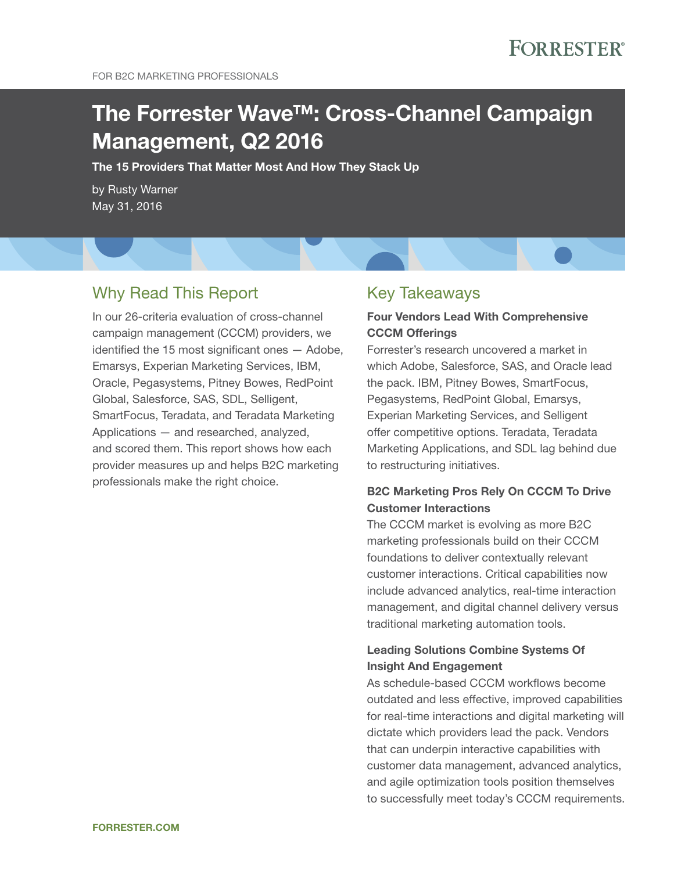# The Forrester Wave™: Cross-Channel Campaign Management, Q2 2016

The 15 Providers That Matter Most And How They Stack Up

by Rusty Warner May 31, 2016

### Why Read This Report

in our 26-criteria evaluation of cross-channel campaign management (CCCM) providers, we identified the 15 most significant ones  $-$  Adobe, Emarsys, Experian Marketing Services, IBM, oracle, Pegasystems, Pitney Bowes, RedPoint global, salesforce, sas, sDl, selligent, SmartFocus, Teradata, and Teradata Marketing applications — and researched, analyzed, and scored them. This report shows how each provider measures up and helps B2C marketing professionals make the right choice.

### **Key Takeaways**

#### Four Vendors Lead With Comprehensive CCCM Offerings

Forrester's research uncovered a market in which Adobe, Salesforce, SAS, and Oracle lead the pack. IBM, Pitney Bowes, SmartFocus, Pegasystems, RedPoint Global, Emarsys, Experian Marketing Services, and Selligent offer competitive options. Teradata, Teradata Marketing Applications, and SDL lag behind due to restructuring initiatives.

### B2C Marketing Pros Rely On CCCM To Drive Customer Interactions

The CCCM market is evolving as more B2C marketing professionals build on their CCCM foundations to deliver contextually relevant customer interactions. Critical capabilities now include advanced analytics, real-time interaction management, and digital channel delivery versus traditional marketing automation tools.

#### Leading Solutions Combine Systems Of Insight And Engagement

as schedule-based CCCM workflows become outdated and less effective, improved capabilities for real-time interactions and digital marketing will dictate which providers lead the pack. Vendors that can underpin interactive capabilities with customer data management, advanced analytics, and agile optimization tools position themselves to successfully meet today's CCCM requirements.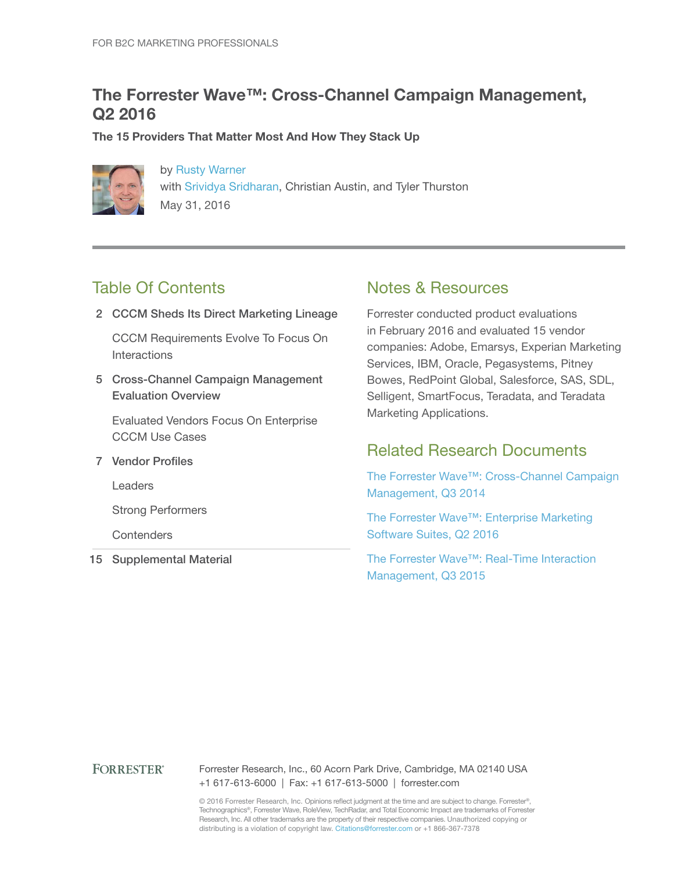### The Forrester Wave™: Cross-Channel Campaign Management, Q2 2016

The 15 Providers That Matter Most And How They Stack Up



by Rusty Warner with Srividya Sridharan, Christian Austin, and Tyler Thurston May 31, 2016

### **Table Of Contents**

2 CCCM Sheds Its Direct Marketing Lineage

CCCM Requirements Evolve To Focus On **Interactions** 

5 Cross-Channel Campaign Management Evaluation Overview

**Evaluated Vendors Focus On Enterprise** CCCM Use Cases

7 Vendor Profiles

**Leaders** 

strong Performers

**Contenders** 

15 Supplemental Material

### notes & Resources

Forrester conducted product evaluations in February 2016 and evaluated 15 vendor companies: Adobe, Emarsys, Experian Marketing services, iBM, oracle, Pegasystems, Pitney Bowes, RedPoint Global, Salesforce, SAS, SDL, Selligent, SmartFocus, Teradata, and Teradata Marketing Applications.

### Related Research Documents

The Forrester Wave™: Cross-Channel Campaign Management, Q3 2014

The Forrester Wave™: Enterprise Marketing Software Suites, Q2 2016

The Forrester Wave™: Real-Time Interaction Management, Q3 2015

#### **FORRESTER®**

Forrester Research, Inc., 60 Acorn Park Drive, Cambridge, MA 02140 USA +1 617-613-6000 | Fax: +1 617-613-5000 | forrester.com

© 2016 Forrester Research, Inc. Opinions reflect judgment at the time and are subject to change. Forrester®, Technographics®, Forrester Wave, RoleView, TechRadar, and Total Economic Impact are trademarks of Forrester Research, inc. all other trademarks are the property of their respective companies. Unauthorized copying or distributing is a violation of copyright law. Citations@forrester.com or +1 866-367-7378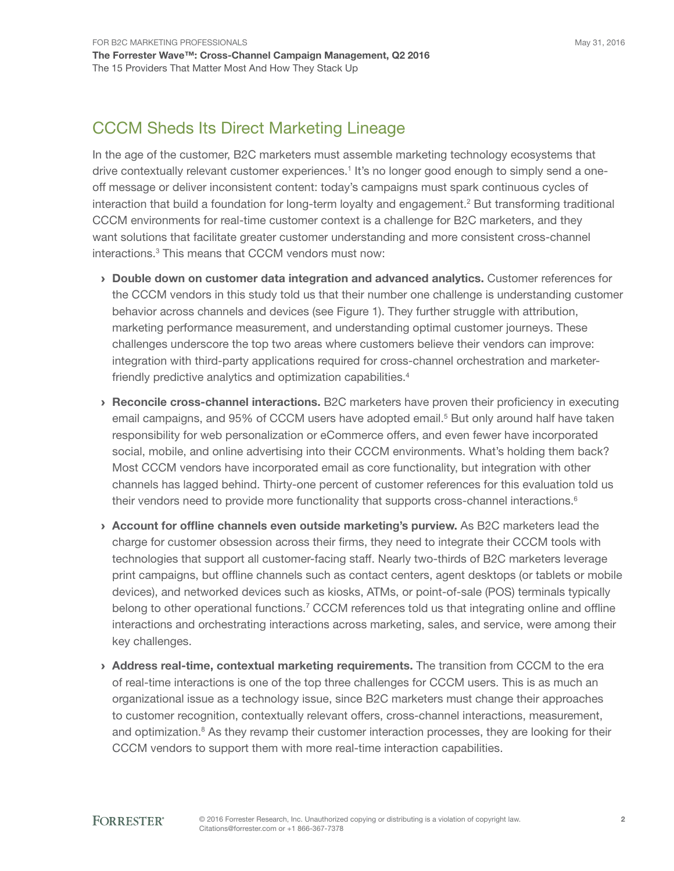### CCCM Sheds Its Direct Marketing Lineage

in the age of the customer, B2C marketers must assemble marketing technology ecosystems that drive contextually relevant customer experiences.<sup>1</sup> It's no longer good enough to simply send a oneoff message or deliver inconsistent content: today's campaigns must spark continuous cycles of interaction that build a foundation for long-term loyalty and engagement.<sup>2</sup> But transforming traditional CCCM environments for real-time customer context is a challenge for B2C marketers, and they want solutions that facilitate greater customer understanding and more consistent cross-channel interactions.<sup>3</sup> This means that CCCM vendors must now:

- › Double down on customer data integration and advanced analytics. Customer references for the CCCM vendors in this study told us that their number one challenge is understanding customer behavior across channels and devices (see Figure 1). They further struggle with attribution, marketing performance measurement, and understanding optimal customer journeys. these challenges underscore the top two areas where customers believe their vendors can improve: integration with third-party applications required for cross-channel orchestration and marketerfriendly predictive analytics and optimization capabilities.<sup>4</sup>
- › Reconcile cross-channel interactions. B2C marketers have proven their proficiency in executing email campaigns, and 95% of CCCM users have adopted email.<sup>5</sup> But only around half have taken responsibility for web personalization or eCommerce offers, and even fewer have incorporated social, mobile, and online advertising into their CCCM environments. What's holding them back? Most CCCM vendors have incorporated email as core functionality, but integration with other channels has lagged behind. Thirty-one percent of customer references for this evaluation told us their vendors need to provide more functionality that supports cross-channel interactions.<sup>6</sup>
- $\rightarrow$  Account for offline channels even outside marketing's purview. As B2C marketers lead the charge for customer obsession across their firms, they need to integrate their CCCM tools with technologies that support all customer-facing staff. Nearly two-thirds of B2C marketers leverage print campaigns, but offline channels such as contact centers, agent desktops (or tablets or mobile devices), and networked devices such as kiosks, atMs, or point-of-sale (Pos) terminals typically belong to other operational functions.<sup>7</sup> CCCM references told us that integrating online and offline interactions and orchestrating interactions across marketing, sales, and service, were among their key challenges.
- > Address real-time, contextual marketing requirements. The transition from CCCM to the era of real-time interactions is one of the top three challenges for CCCM users. this is as much an organizational issue as a technology issue, since B2C marketers must change their approaches to customer recognition, contextually relevant offers, cross-channel interactions, measurement, and optimization.<sup>8</sup> As they revamp their customer interaction processes, they are looking for their CCCM vendors to support them with more real-time interaction capabilities.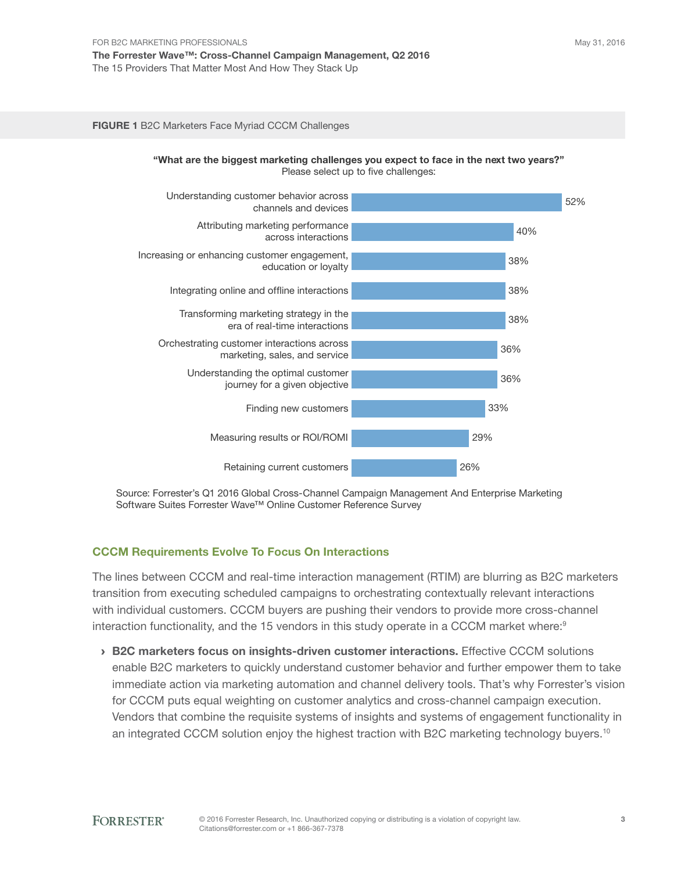#### FIGURE 1 B2C Marketers Face Myriad CCCM Challenges



Source: Forrester's Q1 2016 Global Cross-Channel Campaign Management And Enterprise Marketing Software Suites Forrester Wave™ Online Customer Reference Survey

#### CCCM Requirements Evolve To Focus On Interactions

The lines between CCCM and real-time interaction management (RTIM) are blurring as B2C marketers transition from executing scheduled campaigns to orchestrating contextually relevant interactions with individual customers. CCCM buyers are pushing their vendors to provide more cross-channel interaction functionality, and the 15 vendors in this study operate in a CCCM market where:<sup>9</sup>

**> B2C marketers focus on insights-driven customer interactions.** Effective CCCM solutions enable B2C marketers to quickly understand customer behavior and further empower them to take immediate action via marketing automation and channel delivery tools. That's why Forrester's vision for CCCM puts equal weighting on customer analytics and cross-channel campaign execution. Vendors that combine the requisite systems of insights and systems of engagement functionality in an integrated CCCM solution enjoy the highest traction with B2C marketing technology buyers.<sup>10</sup>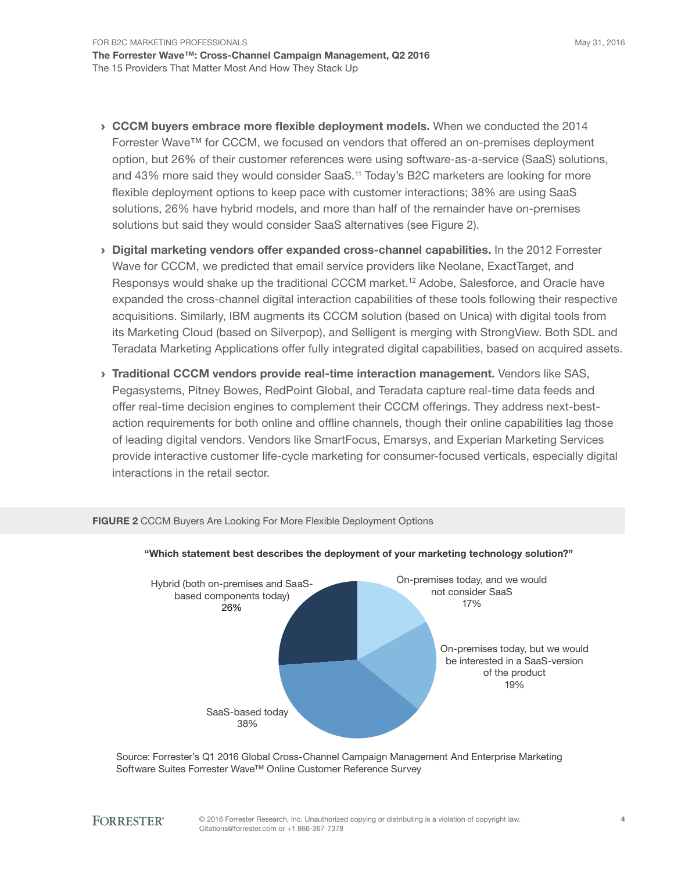- $\rightarrow$  CCCM buyers embrace more flexible deployment models. When we conducted the 2014 Forrester Wave™ for CCCM, we focused on vendors that offered an on-premises deployment option, but 26% of their customer references were using software-as-a-service (saas) solutions, and 43% more said they would consider SaaS.<sup>11</sup> Today's B2C marketers are looking for more flexible deployment options to keep pace with customer interactions; 38% are using SaaS solutions, 26% have hybrid models, and more than half of the remainder have on-premises solutions but said they would consider SaaS alternatives (see Figure 2).
- › Digital marketing vendors offer expanded cross-channel capabilities. in the 2012 Forrester Wave for CCCM, we predicted that email service providers like Neolane, ExactTarget, and Responsys would shake up the traditional CCCM market.<sup>12</sup> Adobe, Salesforce, and Oracle have expanded the cross-channel digital interaction capabilities of these tools following their respective acquisitions. similarly, iBM augments its CCCM solution (based on Unica) with digital tools from its Marketing Cloud (based on Silverpop), and Selligent is merging with StrongView. Both SDL and Teradata Marketing Applications offer fully integrated digital capabilities, based on acquired assets.
- > Traditional CCCM vendors provide real-time interaction management. Vendors like SAS, Pegasystems, Pitney Bowes, RedPoint Global, and Teradata capture real-time data feeds and offer real-time decision engines to complement their CCCM offerings. They address next-bestaction requirements for both online and offline channels, though their online capabilities lag those of leading digital vendors. Vendors like SmartFocus, Emarsys, and Experian Marketing Services provide interactive customer life-cycle marketing for consumer-focused verticals, especially digital interactions in the retail sector.



#### FIGURE 2 CCCM Buyers Are Looking For More Flexible Deployment Options

Source: Forrester's Q1 2016 Global Cross-Channel Campaign Management And Enterprise Marketing Software Suites Forrester Wave™ Online Customer Reference Survey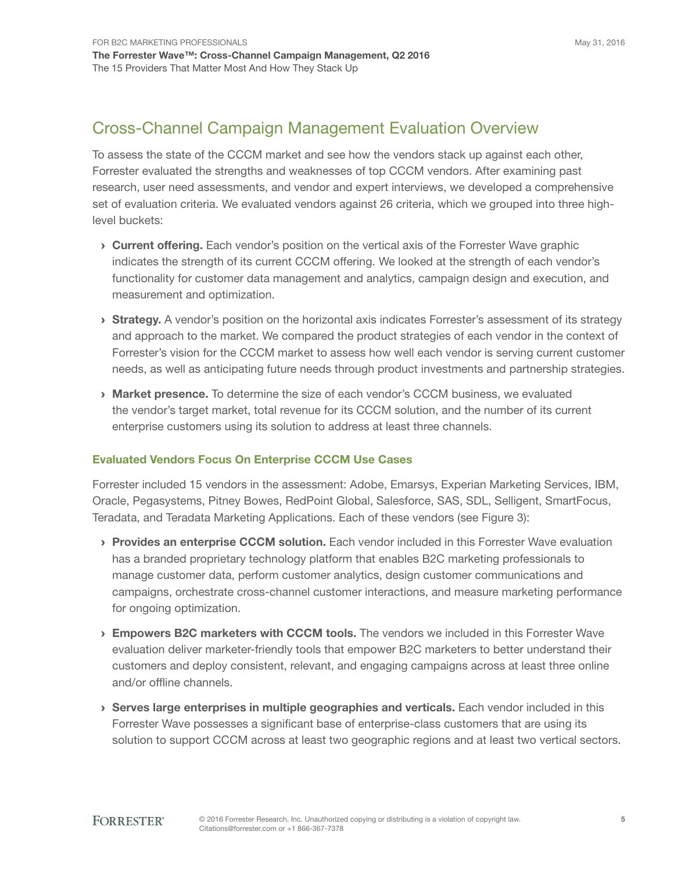### Cross-Channel Campaign Management Evaluation Overview

To assess the state of the CCCM market and see how the vendors stack up against each other, Forrester evaluated the strengths and weaknesses of top CCCM vendors. after examining past research, user need assessments, and vendor and expert interviews, we developed a comprehensive set of evaluation criteria. We evaluated vendors against 26 criteria, which we grouped into three highlevel buckets:

- **Current offering.** Each vendor's position on the vertical axis of the Forrester Wave graphic indicates the strength of its current CCCM offering. We looked at the strength of each vendor's functionality for customer data management and analytics, campaign design and execution, and measurement and optimization.
- **Strategy.** A vendor's position on the horizontal axis indicates Forrester's assessment of its strategy and approach to the market. We compared the product strategies of each vendor in the context of Forrester's vision for the CCCM market to assess how well each vendor is serving current customer needs, as well as anticipating future needs through product investments and partnership strategies.
- > Market presence. To determine the size of each vendor's CCCM business, we evaluated the vendor's target market, total revenue for its CCCM solution, and the number of its current enterprise customers using its solution to address at least three channels.

#### Evaluated Vendors Focus On Enterprise CCCM Use Cases

Forrester included 15 vendors in the assessment: Adobe, Emarsys, Experian Marketing Services, IBM, Oracle, Pegasystems, Pitney Bowes, RedPoint Global, Salesforce, SAS, SDL, Selligent, SmartFocus, Teradata, and Teradata Marketing Applications. Each of these vendors (see Figure 3):

- **Provides an enterprise CCCM solution.** Each vendor included in this Forrester Wave evaluation has a branded proprietary technology platform that enables B2C marketing professionals to manage customer data, perform customer analytics, design customer communications and campaigns, orchestrate cross-channel customer interactions, and measure marketing performance for ongoing optimization.
- $\rightarrow$  Empowers B2C marketers with CCCM tools. The vendors we included in this Forrester Wave evaluation deliver marketer-friendly tools that empower B2C marketers to better understand their customers and deploy consistent, relevant, and engaging campaigns across at least three online and/or offline channels.
- › Serves large enterprises in multiple geographies and verticals. each vendor included in this Forrester Wave possesses a significant base of enterprise-class customers that are using its solution to support CCCM across at least two geographic regions and at least two vertical sectors.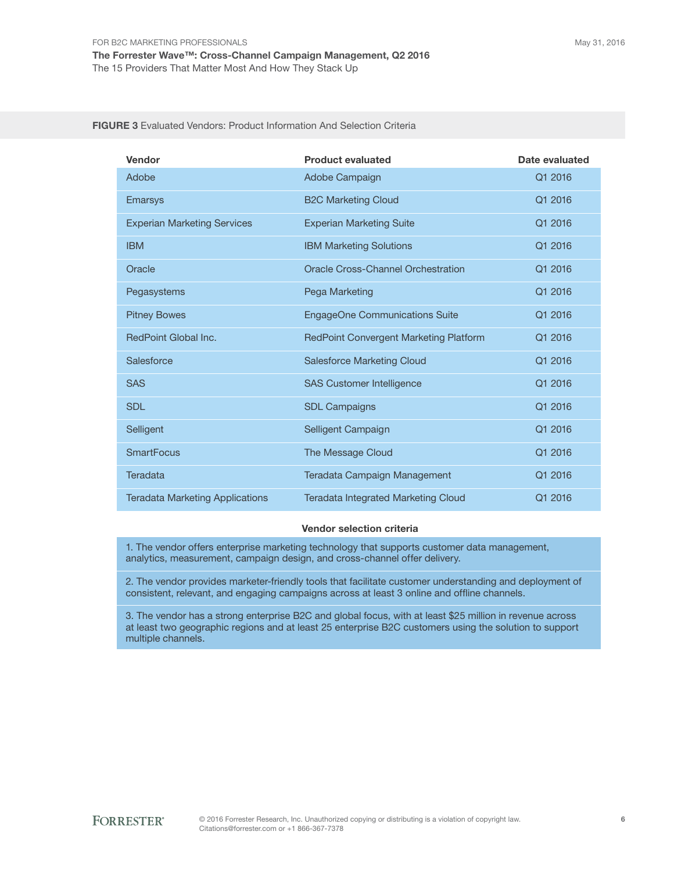| Vendor                                 | <b>Product evaluated</b>                  | Date evaluated |
|----------------------------------------|-------------------------------------------|----------------|
| Adobe                                  | Adobe Campaign                            | Q1 2016        |
| <b>Emarsys</b>                         | <b>B2C Marketing Cloud</b>                | Q1 2016        |
| <b>Experian Marketing Services</b>     | <b>Experian Marketing Suite</b>           | Q1 2016        |
| <b>IBM</b>                             | <b>IBM Marketing Solutions</b>            | Q1 2016        |
| Oracle                                 | <b>Oracle Cross-Channel Orchestration</b> | Q1 2016        |
| Pegasystems                            | Pega Marketing                            | Q1 2016        |
| <b>Pitney Bowes</b>                    | <b>EngageOne Communications Suite</b>     | Q1 2016        |
| RedPoint Global Inc.                   | RedPoint Convergent Marketing Platform    | Q1 2016        |
| Salesforce                             | <b>Salesforce Marketing Cloud</b>         | Q1 2016        |
| <b>SAS</b>                             | <b>SAS Customer Intelligence</b>          | Q1 2016        |
| <b>SDL</b>                             | <b>SDL Campaigns</b>                      | Q1 2016        |
| Selligent                              | Selligent Campaign                        | Q1 2016        |
| <b>SmartFocus</b>                      | The Message Cloud                         | Q1 2016        |
| <b>Teradata</b>                        | Teradata Campaign Management              | Q1 2016        |
| <b>Teradata Marketing Applications</b> | Teradata Integrated Marketing Cloud       | Q1 2016        |

FIGURE 3 Evaluated Vendors: Product Information And Selection Criteria

#### Vendor selection criteria

1. The vendor offers enterprise marketing technology that supports customer data management, analytics, measurement, campaign design, and cross-channel offer delivery.

2. The vendor provides marketer-friendly tools that facilitate customer understanding and deployment of consistent, relevant, and engaging campaigns across at least 3 online and offline channels.

3. The vendor has a strong enterprise B2C and global focus, with at least \$25 million in revenue across at least two geographic regions and at least 25 enterprise B2C customers using the solution to support multiple channels.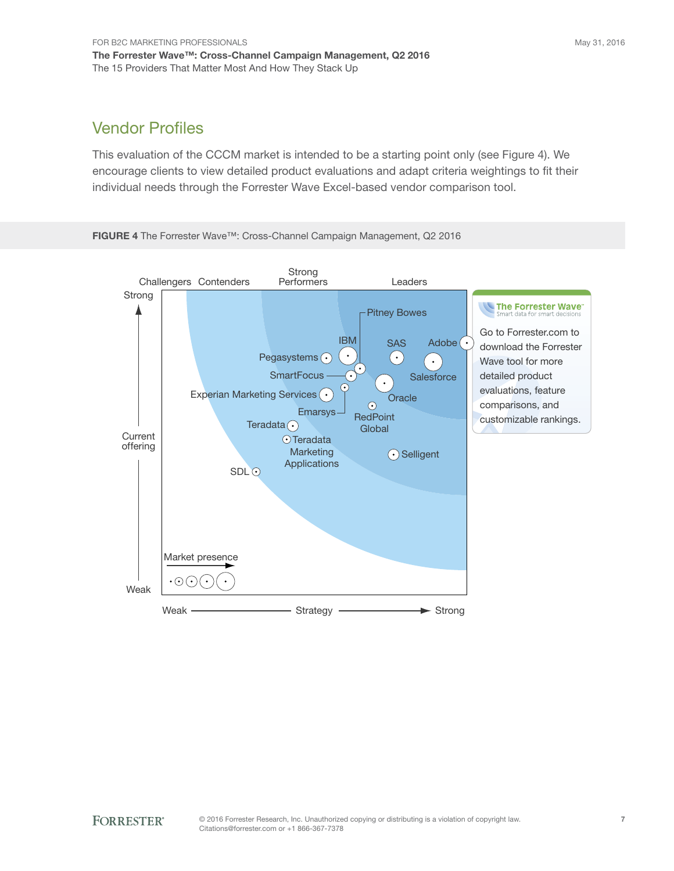### Vendor Profiles

This evaluation of the CCCM market is intended to be a starting point only (see Figure 4). We encourage clients to view detailed product evaluations and adapt criteria weightings to fit their individual needs through the Forrester Wave Excel-based vendor comparison tool.



FIGURE 4 The Forrester Wave™: Cross-Channel Campaign Management, Q2 2016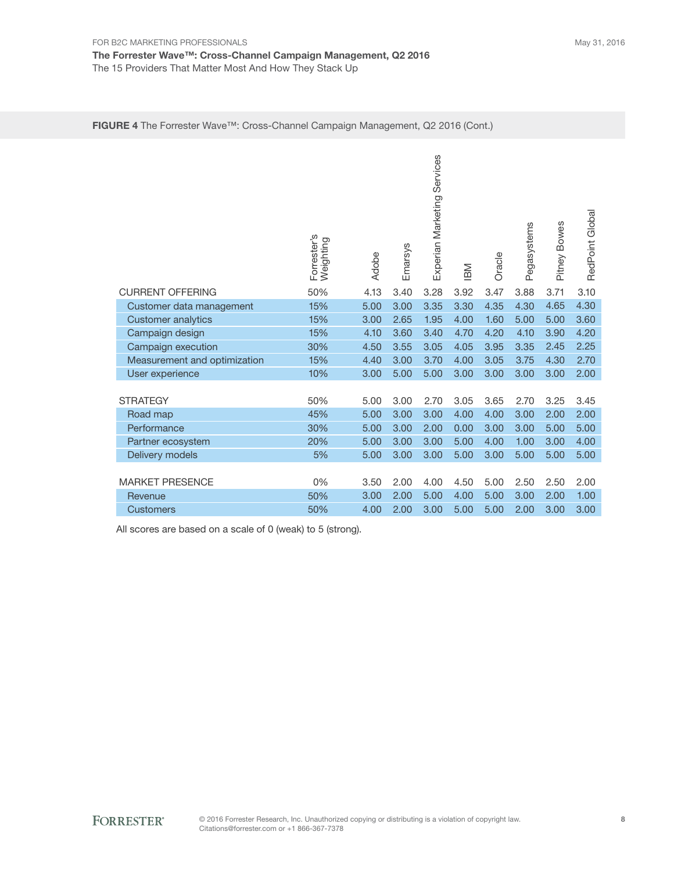#### FIGURE 4 The Forrester Wave™: Cross-Channel Campaign Management, Q2 2016 (Cont.)

|                              | Forrester's<br>Weighting | Adobe | Emarsys | Services<br>Experian Marketing | IBM  | Oracle | Pegasystems | Pitney Bowes | RedPoint Global |
|------------------------------|--------------------------|-------|---------|--------------------------------|------|--------|-------------|--------------|-----------------|
| <b>CURRENT OFFERING</b>      | 50%                      | 4.13  | 3.40    | 3.28                           | 3.92 | 3.47   | 3.88        | 3.71         | 3.10            |
| Customer data management     | 15%                      | 5.00  | 3.00    | 3.35                           | 3.30 | 4.35   | 4.30        | 4.65         | 4.30            |
| <b>Customer analytics</b>    | 15%                      | 3.00  | 2.65    | 1.95                           | 4.00 | 1.60   | 5.00        | 5.00         | 3.60            |
| Campaign design              | 15%                      | 4.10  | 3.60    | 3.40                           | 4.70 | 4.20   | 4.10        | 3.90         | 4.20            |
| Campaign execution           | 30%                      | 4.50  | 3.55    | 3.05                           | 4.05 | 3.95   | 3.35        | 2.45         | 2.25            |
| Measurement and optimization | 15%                      | 4.40  | 3.00    | 3.70                           | 4.00 | 3.05   | 3.75        | 4.30         | 2.70            |
| User experience              | 10%                      | 3.00  | 5.00    | 5.00                           | 3.00 | 3.00   | 3.00        | 3.00         | 2.00            |
| <b>STRATEGY</b>              | 50%                      | 5.00  | 3.00    | 2.70                           | 3.05 | 3.65   | 2.70        | 3.25         | 3.45            |
| Road map                     | 45%                      | 5.00  | 3.00    | 3.00                           | 4.00 | 4.00   | 3.00        | 2.00         | 2.00            |
| Performance                  | 30%                      | 5.00  | 3.00    | 2.00                           | 0.00 | 3.00   | 3.00        | 5.00         | 5.00            |
| Partner ecosystem            | 20%                      | 5.00  | 3.00    | 3.00                           | 5.00 | 4.00   | 1.00        | 3.00         | 4.00            |
| Delivery models              | 5%                       | 5.00  | 3.00    | 3.00                           | 5.00 | 3.00   | 5.00        | 5.00         | 5.00            |
|                              |                          |       |         |                                |      |        |             |              |                 |
| <b>MARKET PRESENCE</b>       | 0%                       | 3.50  | 2.00    | 4.00                           | 4.50 | 5.00   | 2.50        | 2.50         | 2.00            |
| Revenue                      | 50%                      | 3.00  | 2.00    | 5.00                           | 4.00 | 5.00   | 3.00        | 2.00         | 1.00            |
| <b>Customers</b>             | 50%                      | 4.00  | 2.00    | 3.00                           | 5.00 | 5.00   | 2.00        | 3.00         | 3.00            |

All scores are based on a scale of 0 (weak) to 5 (strong).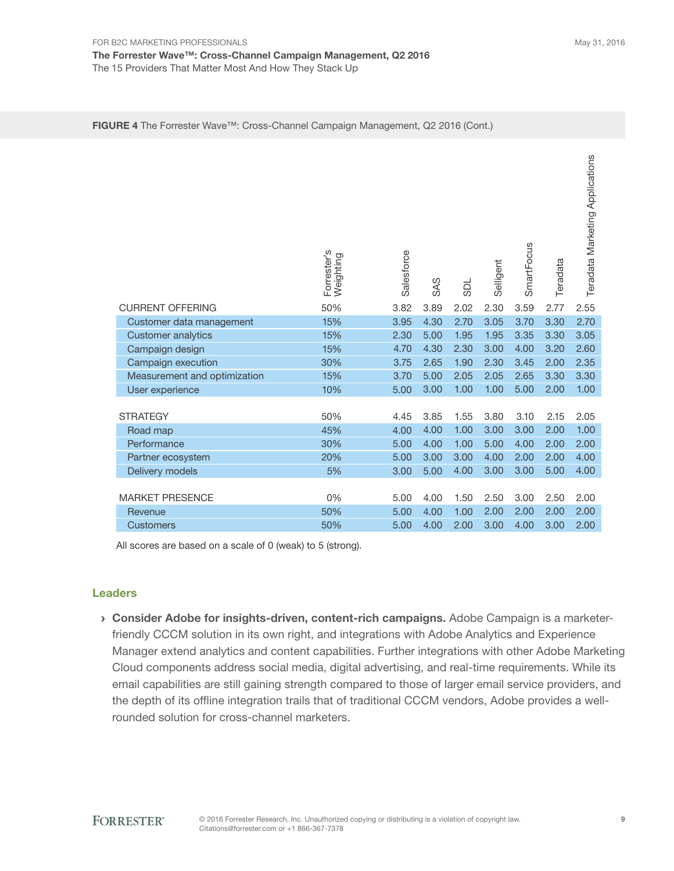|                              | Forrester's<br>Weighting | Salesforce | <b>SAS</b> | <b>NGS</b> | Selligent | SmartFocus | Teradata | Teradata Marketing Applications |
|------------------------------|--------------------------|------------|------------|------------|-----------|------------|----------|---------------------------------|
| <b>CURRENT OFFERING</b>      | 50%                      | 3.82       | 3.89       | 2.02       | 2.30      | 3.59       | 2.77     | 2.55                            |
| Customer data management     | 15%                      | 3.95       | 4.30       | 2.70       | 3.05      | 3.70       | 3.30     | 2.70                            |
| <b>Customer analytics</b>    | 15%                      | 2.30       | 5.00       | 1.95       | 1.95      | 3.35       | 3.30     | 3.05                            |
| Campaign design              | 15%                      | 4.70       | 4.30       | 2.30       | 3.00      | 4.00       | 3.20     | 2.60                            |
| Campaign execution           | 30%                      | 3.75       | 2.65       | 1.90       | 2.30      | 3.45       | 2.00     | 2.35                            |
| Measurement and optimization | 15%                      | 3.70       | 5.00       | 2.05       | 2.05      | 2.65       | 3.30     | 3.30                            |
| User experience              | 10%                      | 5.00       | 3.00       | 1.00       | 1.00      | 5.00       | 2.00     | 1.00                            |
|                              |                          |            |            |            |           |            |          |                                 |
| <b>STRATEGY</b>              | 50%                      | 4.45       | 3.85       | 1.55       | 3.80      | 3.10       | 2.15     | 2.05                            |
| Road map                     | 45%                      | 4.00       | 4.00       | 1.00       | 3.00      | 3.00       | 2.00     | 1.00                            |
| Performance                  | 30%                      | 5.00       | 4.00       | 1.00       | 5.00      | 4.00       | 2.00     | 2.00                            |
| Partner ecosystem            | 20%                      | 5.00       | 3.00       | 3.00       | 4.00      | 2.00       | 2.00     | 4.00                            |
| Delivery models              | 5%                       | 3.00       | 5.00       | 4.00       | 3.00      | 3.00       | 5.00     | 4.00                            |
|                              |                          |            |            |            |           |            |          |                                 |
| <b>MARKET PRESENCE</b>       | 0%                       | 5.00       | 4.00       | 1.50       | 2.50      | 3.00       | 2.50     | 2.00                            |
| Revenue                      | 50%                      | 5.00       | 4.00       | 1.00       | 2.00      | 2.00       | 2.00     | 2.00                            |
| <b>Customers</b>             | 50%                      | 5.00       | 4.00       | 2.00       | 3.00      | 4.00       | 3.00     | 2.00                            |

| FIGURE 4 The Forrester Wave™: Cross-Channel Campaign Management, Q2 2016 (Cont.) |  |
|----------------------------------------------------------------------------------|--|
|----------------------------------------------------------------------------------|--|

All scores are based on a scale of 0 (weak) to 5 (strong).

#### Leaders

**Consider Adobe for insights-driven, content-rich campaigns.** Adobe Campaign is a marketerfriendly CCCM solution in its own right, and integrations with Adobe Analytics and Experience Manager extend analytics and content capabilities. Further integrations with other Adobe Marketing Cloud components address social media, digital advertising, and real-time requirements. While its email capabilities are still gaining strength compared to those of larger email service providers, and the depth of its offline integration trails that of traditional CCCM vendors, adobe provides a wellrounded solution for cross-channel marketers.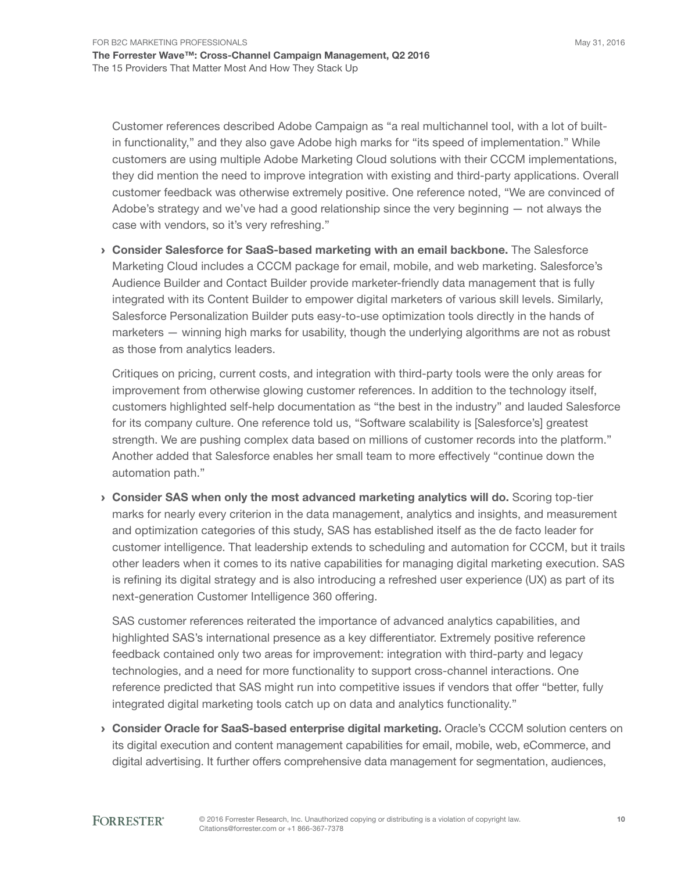May 31, 2016

Customer references described Adobe Campaign as "a real multichannel tool, with a lot of builtin functionality," and they also gave Adobe high marks for "its speed of implementation." While customers are using multiple adobe Marketing Cloud solutions with their CCCM implementations, they did mention the need to improve integration with existing and third-party applications. overall customer feedback was otherwise extremely positive. One reference noted, "We are convinced of Adobe's strategy and we've had a good relationship since the very beginning  $-$  not always the case with vendors, so it's very refreshing."

› Consider Salesforce for SaaS-based marketing with an email backbone. the salesforce Marketing Cloud includes a CCCM package for email, mobile, and web marketing. salesforce's Audience Builder and Contact Builder provide marketer-friendly data management that is fully integrated with its Content Builder to empower digital marketers of various skill levels. similarly, salesforce Personalization Builder puts easy-to-use optimization tools directly in the hands of marketers — winning high marks for usability, though the underlying algorithms are not as robust as those from analytics leaders.

Critiques on pricing, current costs, and integration with third-party tools were the only areas for improvement from otherwise glowing customer references. in addition to the technology itself, customers highlighted self-help documentation as "the best in the industry" and lauded salesforce for its company culture. One reference told us, "Software scalability is [Salesforce's] greatest strength. We are pushing complex data based on millions of customer records into the platform." another added that salesforce enables her small team to more effectively "continue down the automation path."

› Consider SAS when only the most advanced marketing analytics will do. scoring top-tier marks for nearly every criterion in the data management, analytics and insights, and measurement and optimization categories of this study, SAS has established itself as the de facto leader for customer intelligence. That leadership extends to scheduling and automation for CCCM, but it trails other leaders when it comes to its native capabilities for managing digital marketing execution. SAS is refining its digital strategy and is also introducing a refreshed user experience (UX) as part of its next-generation Customer intelligence 360 offering.

SAS customer references reiterated the importance of advanced analytics capabilities, and highlighted SAS's international presence as a key differentiator. Extremely positive reference feedback contained only two areas for improvement: integration with third-party and legacy technologies, and a need for more functionality to support cross-channel interactions. one reference predicted that SAS might run into competitive issues if vendors that offer "better, fully integrated digital marketing tools catch up on data and analytics functionality."

› Consider Oracle for SaaS-based enterprise digital marketing. oracle's CCCM solution centers on its digital execution and content management capabilities for email, mobile, web, eCommerce, and digital advertising. it further offers comprehensive data management for segmentation, audiences,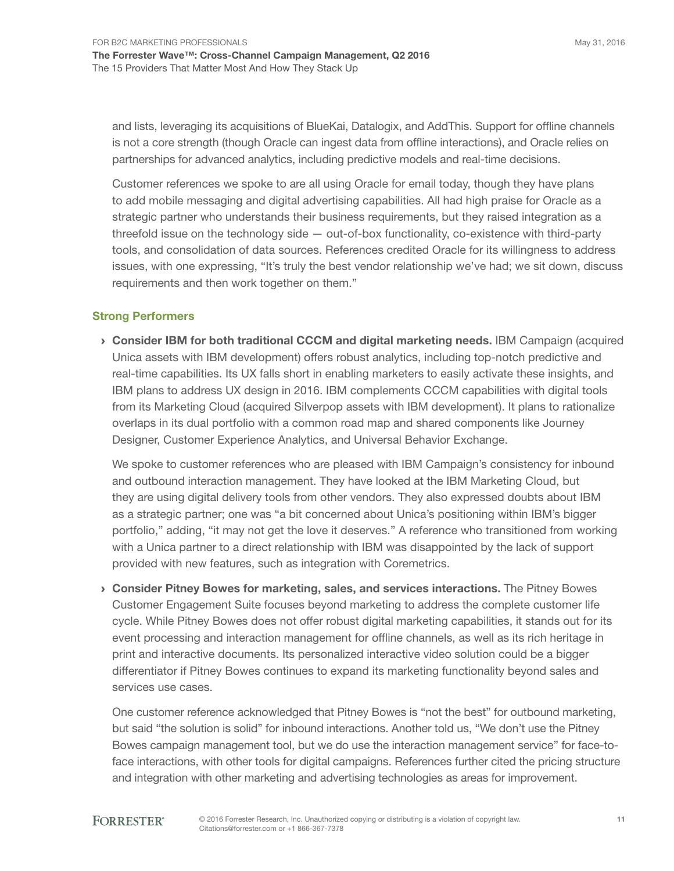May 31, 2016

and lists, leveraging its acquisitions of BlueKai, Datalogix, and AddThis. Support for offline channels is not a core strength (though Oracle can ingest data from offline interactions), and Oracle relies on partnerships for advanced analytics, including predictive models and real-time decisions.

Customer references we spoke to are all using oracle for email today, though they have plans to add mobile messaging and digital advertising capabilities. all had high praise for oracle as a strategic partner who understands their business requirements, but they raised integration as a threefold issue on the technology side — out-of-box functionality, co-existence with third-party tools, and consolidation of data sources. References credited oracle for its willingness to address issues, with one expressing, "it's truly the best vendor relationship we've had; we sit down, discuss requirements and then work together on them."

#### Strong Performers

› Consider IBM for both traditional CCCM and digital marketing needs. iBM Campaign (acquired Unica assets with iBM development) offers robust analytics, including top-notch predictive and real-time capabilities. its UX falls short in enabling marketers to easily activate these insights, and iBM plans to address UX design in 2016. iBM complements CCCM capabilities with digital tools from its Marketing Cloud (acquired Silverpop assets with IBM development). It plans to rationalize overlaps in its dual portfolio with a common road map and shared components like Journey Designer, Customer Experience Analytics, and Universal Behavior Exchange.

We spoke to customer references who are pleased with iBM Campaign's consistency for inbound and outbound interaction management. They have looked at the IBM Marketing Cloud, but they are using digital delivery tools from other vendors. They also expressed doubts about IBM as a strategic partner; one was "a bit concerned about Unica's positioning within iBM's bigger portfolio," adding, "it may not get the love it deserves." A reference who transitioned from working with a Unica partner to a direct relationship with iBM was disappointed by the lack of support provided with new features, such as integration with Coremetrics.

**Consider Pitney Bowes for marketing, sales, and services interactions.** The Pitney Bowes Customer Engagement Suite focuses beyond marketing to address the complete customer life cycle. While Pitney Bowes does not offer robust digital marketing capabilities, it stands out for its event processing and interaction management for offline channels, as well as its rich heritage in print and interactive documents. its personalized interactive video solution could be a bigger differentiator if Pitney Bowes continues to expand its marketing functionality beyond sales and services use cases.

one customer reference acknowledged that Pitney Bowes is "not the best" for outbound marketing, but said "the solution is solid" for inbound interactions. Another told us, "We don't use the Pitney Bowes campaign management tool, but we do use the interaction management service" for face-toface interactions, with other tools for digital campaigns. References further cited the pricing structure and integration with other marketing and advertising technologies as areas for improvement.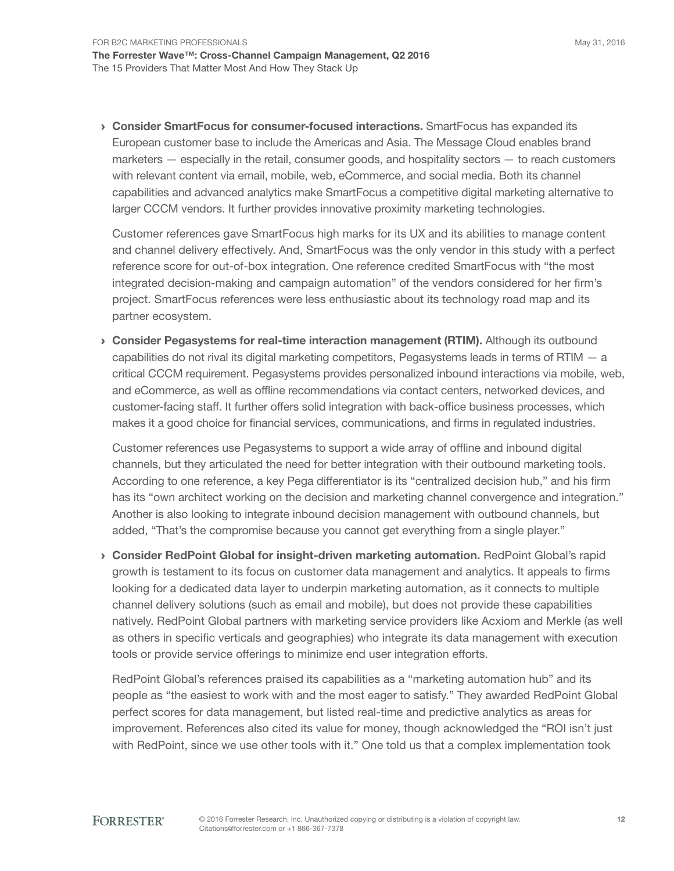› Consider SmartFocus for consumer-focused interactions. smartFocus has expanded its European customer base to include the Americas and Asia. The Message Cloud enables brand marketers — especially in the retail, consumer goods, and hospitality sectors — to reach customers with relevant content via email, mobile, web, eCommerce, and social media. Both its channel capabilities and advanced analytics make smartFocus a competitive digital marketing alternative to larger CCCM vendors. it further provides innovative proximity marketing technologies.

Customer references gave smartFocus high marks for its UX and its abilities to manage content and channel delivery effectively. And, SmartFocus was the only vendor in this study with a perfect reference score for out-of-box integration. One reference credited SmartFocus with "the most integrated decision-making and campaign automation" of the vendors considered for her firm's project. smartFocus references were less enthusiastic about its technology road map and its partner ecosystem.

› Consider Pegasystems for real-time interaction management (RTIM). although its outbound capabilities do not rival its digital marketing competitors, Pegasystems leads in terms of RTIM  $-$  a critical CCCM requirement. Pegasystems provides personalized inbound interactions via mobile, web, and eCommerce, as well as offline recommendations via contact centers, networked devices, and customer-facing staff. it further offers solid integration with back-office business processes, which makes it a good choice for financial services, communications, and firms in regulated industries.

Customer references use Pegasystems to support a wide array of offline and inbound digital channels, but they articulated the need for better integration with their outbound marketing tools. According to one reference, a key Pega differentiator is its "centralized decision hub," and his firm has its "own architect working on the decision and marketing channel convergence and integration." another is also looking to integrate inbound decision management with outbound channels, but added, "That's the compromise because you cannot get everything from a single player."

**Consider RedPoint Global for insight-driven marketing automation. RedPoint Global's rapid** growth is testament to its focus on customer data management and analytics. it appeals to firms looking for a dedicated data layer to underpin marketing automation, as it connects to multiple channel delivery solutions (such as email and mobile), but does not provide these capabilities natively. RedPoint global partners with marketing service providers like acxiom and Merkle (as well as others in specific verticals and geographies) who integrate its data management with execution tools or provide service offerings to minimize end user integration efforts.

RedPoint Global's references praised its capabilities as a "marketing automation hub" and its people as "the easiest to work with and the most eager to satisfy." They awarded RedPoint Global perfect scores for data management, but listed real-time and predictive analytics as areas for improvement. References also cited its value for money, though acknowledged the "Roi isn't just with RedPoint, since we use other tools with it." One told us that a complex implementation took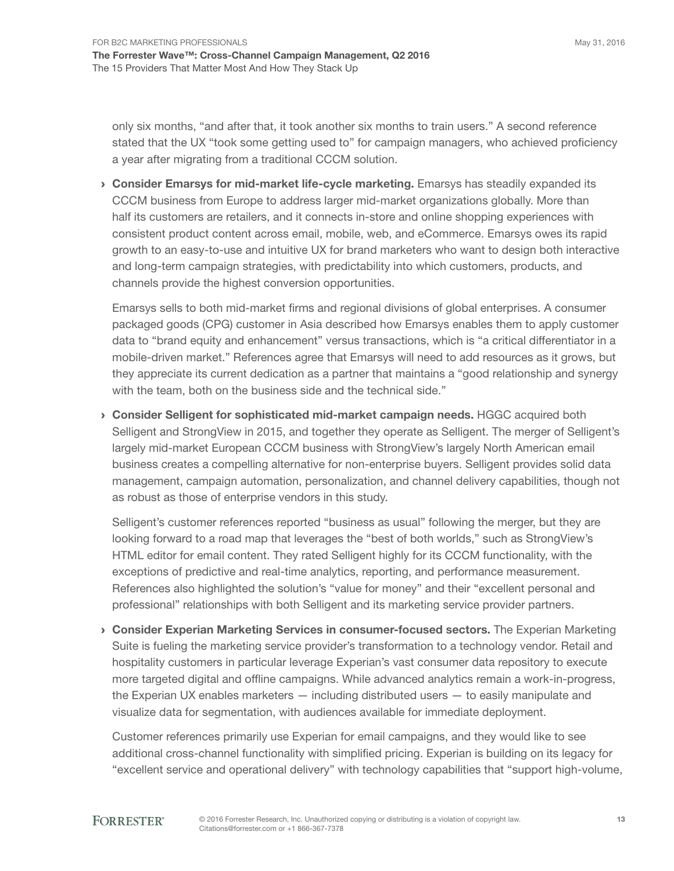only six months, "and after that, it took another six months to train users." A second reference stated that the UX "took some getting used to" for campaign managers, who achieved proficiency a year after migrating from a traditional CCCM solution.

**Consider Emarsys for mid-market life-cycle marketing.** Emarsys has steadily expanded its CCCM business from Europe to address larger mid-market organizations globally. More than half its customers are retailers, and it connects in-store and online shopping experiences with consistent product content across email, mobile, web, and eCommerce. Emarsys owes its rapid growth to an easy-to-use and intuitive UX for brand marketers who want to design both interactive and long-term campaign strategies, with predictability into which customers, products, and channels provide the highest conversion opportunities.

Emarsys sells to both mid-market firms and regional divisions of global enterprises. A consumer packaged goods (CPG) customer in Asia described how Emarsys enables them to apply customer data to "brand equity and enhancement" versus transactions, which is "a critical differentiator in a mobile-driven market." References agree that Emarsys will need to add resources as it grows, but they appreciate its current dedication as a partner that maintains a "good relationship and synergy with the team, both on the business side and the technical side."

› Consider Selligent for sophisticated mid-market campaign needs. HggC acquired both Selligent and StrongView in 2015, and together they operate as Selligent. The merger of Selligent's largely mid-market European CCCM business with StrongView's largely North American email business creates a compelling alternative for non-enterprise buyers. selligent provides solid data management, campaign automation, personalization, and channel delivery capabilities, though not as robust as those of enterprise vendors in this study.

selligent's customer references reported "business as usual" following the merger, but they are looking forward to a road map that leverages the "best of both worlds," such as StrongView's HTML editor for email content. They rated Selligent highly for its CCCM functionality, with the exceptions of predictive and real-time analytics, reporting, and performance measurement. References also highlighted the solution's "value for money" and their "excellent personal and professional" relationships with both Selligent and its marketing service provider partners.

**Consider Experian Marketing Services in consumer-focused sectors.** The Experian Marketing Suite is fueling the marketing service provider's transformation to a technology vendor. Retail and hospitality customers in particular leverage Experian's vast consumer data repository to execute more targeted digital and offline campaigns. While advanced analytics remain a work-in-progress, the Experian UX enables marketers  $-$  including distributed users  $-$  to easily manipulate and visualize data for segmentation, with audiences available for immediate deployment.

Customer references primarily use Experian for email campaigns, and they would like to see additional cross-channel functionality with simplified pricing. Experian is building on its legacy for "excellent service and operational delivery" with technology capabilities that "support high-volume,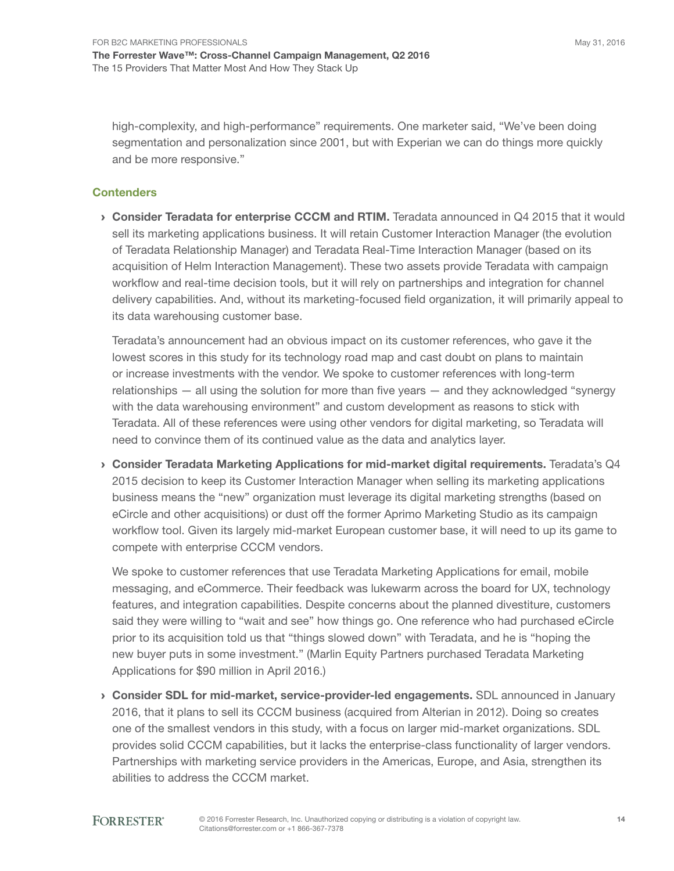high-complexity, and high-performance" requirements. One marketer said, "We've been doing segmentation and personalization since 2001, but with Experian we can do things more quickly and be more responsive."

#### **Contenders**

 $\rightarrow$  Consider Teradata for enterprise CCCM and RTIM. Teradata announced in Q4 2015 that it would sell its marketing applications business. it will retain Customer interaction Manager (the evolution of Teradata Relationship Manager) and Teradata Real-Time Interaction Manager (based on its acquisition of Helm Interaction Management). These two assets provide Teradata with campaign workflow and real-time decision tools, but it will rely on partnerships and integration for channel delivery capabilities. And, without its marketing-focused field organization, it will primarily appeal to its data warehousing customer base.

Teradata's announcement had an obvious impact on its customer references, who gave it the lowest scores in this study for its technology road map and cast doubt on plans to maintain or increase investments with the vendor. We spoke to customer references with long-term relationships — all using the solution for more than five years — and they acknowledged "synergy with the data warehousing environment" and custom development as reasons to stick with Teradata. All of these references were using other vendors for digital marketing, so Teradata will need to convince them of its continued value as the data and analytics layer.

 $\rightarrow$  Consider Teradata Marketing Applications for mid-market digital requirements. Teradata's Q4 2015 decision to keep its Customer interaction Manager when selling its marketing applications business means the "new" organization must leverage its digital marketing strengths (based on eCircle and other acquisitions) or dust off the former Aprimo Marketing Studio as its campaign workflow tool. Given its largely mid-market European customer base, it will need to up its game to compete with enterprise CCCM vendors.

We spoke to customer references that use Teradata Marketing Applications for email, mobile messaging, and eCommerce. Their feedback was lukewarm across the board for UX, technology features, and integration capabilities. Despite concerns about the planned divestiture, customers said they were willing to "wait and see" how things go. One reference who had purchased eCircle prior to its acquisition told us that "things slowed down" with Teradata, and he is "hoping the new buyer puts in some investment." (Marlin Equity Partners purchased Teradata Marketing Applications for \$90 million in April 2016.)

› Consider SDL for mid-market, service-provider-led engagements. sDl announced in January 2016, that it plans to sell its CCCM business (acquired from alterian in 2012). Doing so creates one of the smallest vendors in this study, with a focus on larger mid-market organizations. sDl provides solid CCCM capabilities, but it lacks the enterprise-class functionality of larger vendors. Partnerships with marketing service providers in the Americas, Europe, and Asia, strengthen its abilities to address the CCCM market.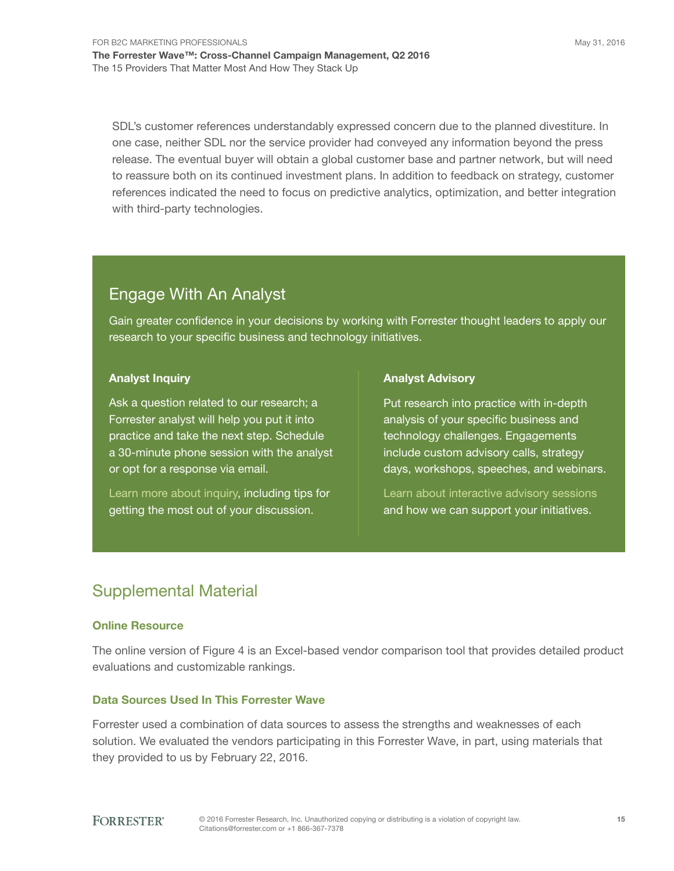sDl's customer references understandably expressed concern due to the planned divestiture. in one case, neither SDL nor the service provider had conveyed any information beyond the press release. the eventual buyer will obtain a global customer base and partner network, but will need to reassure both on its continued investment plans. in addition to feedback on strategy, customer references indicated the need to focus on predictive analytics, optimization, and better integration with third-party technologies.

### **Engage With An Analyst**

Gain greater confidence in your decisions by working with Forrester thought leaders to apply our research to your specific business and technology initiatives.

#### Analyst Inquiry

Ask a question related to our research; a Forrester analyst will help you put it into practice and take the next step. schedule a 30-minute phone session with the analyst or opt for a response via email.

Learn more about inquiry, including tips for getting the most out of your discussion.

#### Analyst Advisory

Put research into practice with in-depth analysis of your specific business and technology challenges. Engagements include custom advisory calls, strategy days, workshops, speeches, and webinars.

learn about interactive advisory sessions and how we can support your initiatives.

## supplemental Material

#### Online Resource

The online version of Figure 4 is an Excel-based vendor comparison tool that provides detailed product evaluations and customizable rankings.

#### Data Sources Used In This Forrester Wave

Forrester used a combination of data sources to assess the strengths and weaknesses of each solution. We evaluated the vendors participating in this Forrester Wave, in part, using materials that they provided to us by February 22, 2016.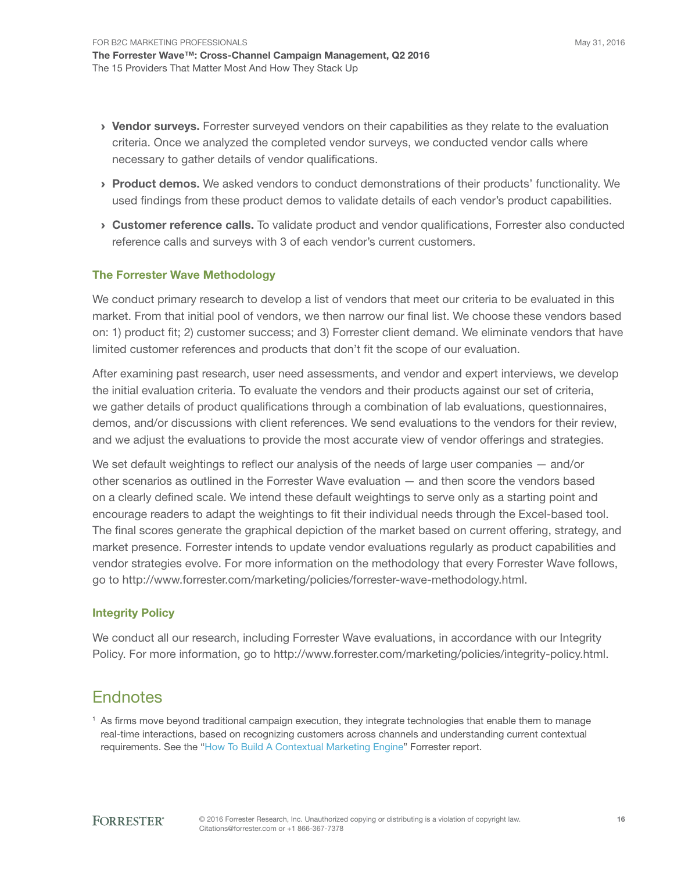- > Vendor surveys. Forrester surveyed vendors on their capabilities as they relate to the evaluation criteria. once we analyzed the completed vendor surveys, we conducted vendor calls where necessary to gather details of vendor qualifications.
- › Product demos. We asked vendors to conduct demonstrations of their products' functionality. We used findings from these product demos to validate details of each vendor's product capabilities.
- **Customer reference calls.** To validate product and vendor qualifications, Forrester also conducted reference calls and surveys with 3 of each vendor's current customers.

#### The Forrester Wave Methodology

We conduct primary research to develop a list of vendors that meet our criteria to be evaluated in this market. From that initial pool of vendors, we then narrow our final list. We choose these vendors based on: 1) product fit; 2) customer success; and 3) Forrester client demand. We eliminate vendors that have limited customer references and products that don't fit the scope of our evaluation.

after examining past research, user need assessments, and vendor and expert interviews, we develop the initial evaluation criteria. to evaluate the vendors and their products against our set of criteria, we gather details of product qualifications through a combination of lab evaluations, questionnaires, demos, and/or discussions with client references. We send evaluations to the vendors for their review, and we adjust the evaluations to provide the most accurate view of vendor offerings and strategies.

We set default weightings to reflect our analysis of the needs of large user companies  $-$  and/or other scenarios as outlined in the Forrester Wave evaluation — and then score the vendors based on a clearly defined scale. We intend these default weightings to serve only as a starting point and encourage readers to adapt the weightings to fit their individual needs through the excel-based tool. The final scores generate the graphical depiction of the market based on current offering, strategy, and market presence. Forrester intends to update vendor evaluations regularly as product capabilities and vendor strategies evolve. For more information on the methodology that every Forrester Wave follows, go to http://www.forrester.com/marketing/policies/forrester-wave-methodology.html.

#### Integrity Policy

We conduct all our research, including Forrester Wave evaluations, in accordance with our integrity Policy. For more information, go to http://www.forrester.com/marketing/policies/integrity-policy.html.

### **Endnotes**

<sup>1</sup> As firms move beyond traditional campaign execution, they integrate technologies that enable them to manage real-time interactions, based on recognizing customers across channels and understanding current contextual requirements. See the "How To Build A Contextual Marketing Engine" Forrester report.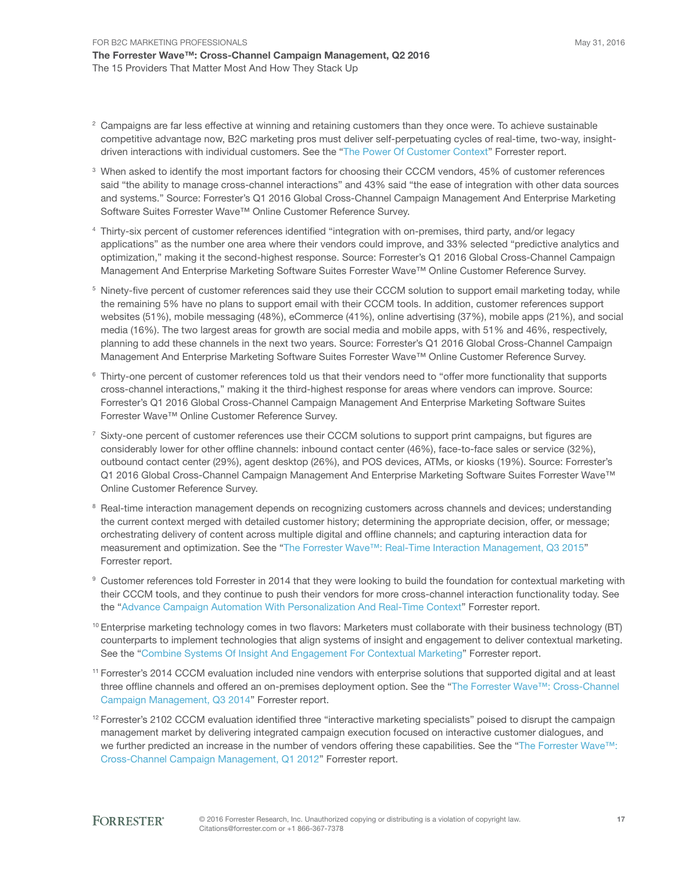- $\textsuperscript{2}$  Campaigns are far less effective at winning and retaining customers than they once were. To achieve sustainable competitive advantage now, B2C marketing pros must deliver self-perpetuating cycles of real-time, two-way, insightdriven interactions with individual customers. See the "The Power Of Customer Context" Forrester report.
- $\,^3$  When asked to identify the most important factors for choosing their CCCM vendors, 45% of customer references said "the ability to manage cross-channel interactions" and 43% said "the ease of integration with other data sources and systems." Source: Forrester's Q1 2016 Global Cross-Channel Campaign Management And Enterprise Marketing Software Suites Forrester Wave™ Online Customer Reference Survey.
- 4 thirty-six percent of customer references identified "integration with on-premises, third party, and/or legacy applications" as the number one area where their vendors could improve, and 33% selected "predictive analytics and optimization," making it the second-highest response. source: Forrester's Q1 2016 global Cross-Channel Campaign Management And Enterprise Marketing Software Suites Forrester Wave™ Online Customer Reference Survey.
- $5$  Ninety-five percent of customer references said they use their CCCM solution to support email marketing today, while the remaining 5% have no plans to support email with their CCCM tools. in addition, customer references support websites (51%), mobile messaging (48%), eCommerce (41%), online advertising (37%), mobile apps (21%), and social media (16%). The two largest areas for growth are social media and mobile apps, with 51% and 46%, respectively, planning to add these channels in the next two years. source: Forrester's Q1 2016 global Cross-Channel Campaign Management And Enterprise Marketing Software Suites Forrester Wave™ Online Customer Reference Survey.
- $6$  Thirty-one percent of customer references told us that their vendors need to "offer more functionality that supports cross-channel interactions," making it the third-highest response for areas where vendors can improve. source: Forrester's Q1 2016 global Cross-Channel Campaign Management and enterprise Marketing software suites Forrester Wave<sup>™</sup> Online Customer Reference Survey.
- $^7$  Sixty-one percent of customer references use their CCCM solutions to support print campaigns, but figures are considerably lower for other offline channels: inbound contact center (46%), face-to-face sales or service (32%), outbound contact center (29%), agent desktop (26%), and POS devices, ATMs, or kiosks (19%). Source: Forrester's Q1 2016 Global Cross-Channel Campaign Management And Enterprise Marketing Software Suites Forrester Wave™ Online Customer Reference Survey.
- 8 Real-time interaction management depends on recognizing customers across channels and devices; understanding the current context merged with detailed customer history; determining the appropriate decision, offer, or message; orchestrating delivery of content across multiple digital and offline channels; and capturing interaction data for measurement and optimization. See the "The Forrester Wave™: Real-Time Interaction Management, Q3 2015" Forrester report.
- 9 Customer references told Forrester in 2014 that they were looking to build the foundation for contextual marketing with their CCCM tools, and they continue to push their vendors for more cross-channel interaction functionality today. see the "Advance Campaign Automation With Personalization And Real-Time Context" Forrester report.
- $10$  Enterprise marketing technology comes in two flavors: Marketers must collaborate with their business technology (BT) counterparts to implement technologies that align systems of insight and engagement to deliver contextual marketing. See the "Combine Systems Of Insight And Engagement For Contextual Marketing" Forrester report.
- <sup>11</sup> Forrester's 2014 CCCM evaluation included nine vendors with enterprise solutions that supported digital and at least three offline channels and offered an on-premises deployment option. See the "The Forrester Wave™: Cross-Channel Campaign Management, Q3 2014" Forrester report.
- $12$  Forrester's 2102 CCCM evaluation identified three "interactive marketing specialists" poised to disrupt the campaign management market by delivering integrated campaign execution focused on interactive customer dialogues, and we further predicted an increase in the number of vendors offering these capabilities. See the "The Forrester Wave™: Cross-Channel Campaign Management, Q1 2012" Forrester report.